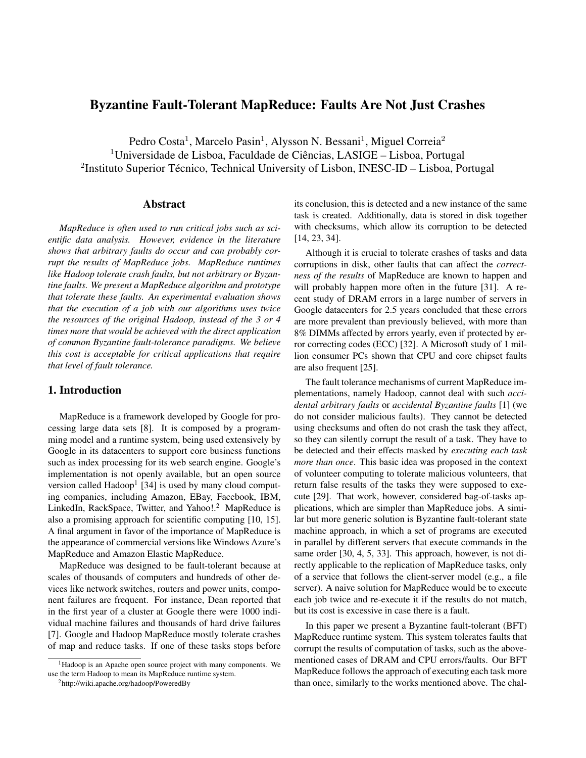# Byzantine Fault-Tolerant MapReduce: Faults Are Not Just Crashes

Pedro Costa<sup>1</sup>, Marcelo Pasin<sup>1</sup>, Alysson N. Bessani<sup>1</sup>, Miguel Correia<sup>2</sup>  $1$ Universidade de Lisboa, Faculdade de Ciências, LASIGE – Lisboa, Portugal <sup>2</sup> Instituto Superior Técnico, Technical University of Lisbon, INESC-ID - Lisboa, Portugal

### Abstract

*MapReduce is often used to run critical jobs such as scientific data analysis. However, evidence in the literature shows that arbitrary faults do occur and can probably corrupt the results of MapReduce jobs. MapReduce runtimes like Hadoop tolerate crash faults, but not arbitrary or Byzantine faults. We present a MapReduce algorithm and prototype that tolerate these faults. An experimental evaluation shows that the execution of a job with our algorithms uses twice the resources of the original Hadoop, instead of the 3 or 4 times more that would be achieved with the direct application of common Byzantine fault-tolerance paradigms. We believe this cost is acceptable for critical applications that require that level of fault tolerance.*

### 1. Introduction

MapReduce is a framework developed by Google for processing large data sets [8]. It is composed by a programming model and a runtime system, being used extensively by Google in its datacenters to support core business functions such as index processing for its web search engine. Google's implementation is not openly available, but an open source version called  $H$ adoop<sup>1</sup> [34] is used by many cloud computing companies, including Amazon, EBay, Facebook, IBM, LinkedIn, RackSpace, Twitter, and Yahoo!.<sup>2</sup> MapReduce is also a promising approach for scientific computing [10, 15]. A final argument in favor of the importance of MapReduce is the appearance of commercial versions like Windows Azure's MapReduce and Amazon Elastic MapReduce.

MapReduce was designed to be fault-tolerant because at scales of thousands of computers and hundreds of other devices like network switches, routers and power units, component failures are frequent. For instance, Dean reported that in the first year of a cluster at Google there were 1000 individual machine failures and thousands of hard drive failures [7]. Google and Hadoop MapReduce mostly tolerate crashes of map and reduce tasks. If one of these tasks stops before its conclusion, this is detected and a new instance of the same task is created. Additionally, data is stored in disk together with checksums, which allow its corruption to be detected [14, 23, 34].

Although it is crucial to tolerate crashes of tasks and data corruptions in disk, other faults that can affect the *correctness of the results* of MapReduce are known to happen and will probably happen more often in the future [31]. A recent study of DRAM errors in a large number of servers in Google datacenters for 2.5 years concluded that these errors are more prevalent than previously believed, with more than 8% DIMMs affected by errors yearly, even if protected by error correcting codes (ECC) [32]. A Microsoft study of 1 million consumer PCs shown that CPU and core chipset faults are also frequent [25].

The fault tolerance mechanisms of current MapReduce implementations, namely Hadoop, cannot deal with such *accidental arbitrary faults* or *accidental Byzantine faults* [1] (we do not consider malicious faults). They cannot be detected using checksums and often do not crash the task they affect, so they can silently corrupt the result of a task. They have to be detected and their effects masked by *executing each task more than once*. This basic idea was proposed in the context of volunteer computing to tolerate malicious volunteers, that return false results of the tasks they were supposed to execute [29]. That work, however, considered bag-of-tasks applications, which are simpler than MapReduce jobs. A similar but more generic solution is Byzantine fault-tolerant state machine approach, in which a set of programs are executed in parallel by different servers that execute commands in the same order [30, 4, 5, 33]. This approach, however, is not directly applicable to the replication of MapReduce tasks, only of a service that follows the client-server model (e.g., a file server). A naive solution for MapReduce would be to execute each job twice and re-execute it if the results do not match, but its cost is excessive in case there is a fault.

In this paper we present a Byzantine fault-tolerant (BFT) MapReduce runtime system. This system tolerates faults that corrupt the results of computation of tasks, such as the abovementioned cases of DRAM and CPU errors/faults. Our BFT MapReduce follows the approach of executing each task more than once, similarly to the works mentioned above. The chal-

 $<sup>1</sup>$ Hadoop is an Apache open source project with many components. We</sup> use the term Hadoop to mean its MapReduce runtime system.

<sup>2</sup>http://wiki.apache.org/hadoop/PoweredBy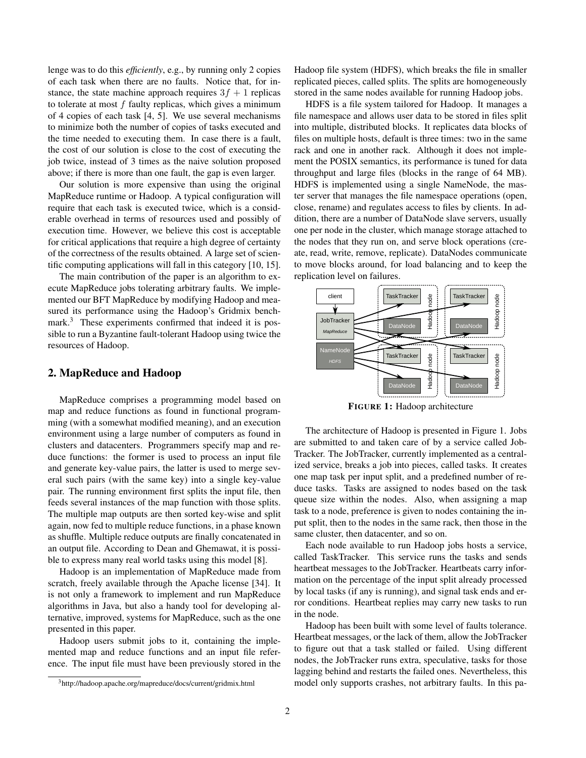lenge was to do this *efficiently*, e.g., by running only 2 copies of each task when there are no faults. Notice that, for instance, the state machine approach requires  $3f + 1$  replicas to tolerate at most  $f$  faulty replicas, which gives a minimum of 4 copies of each task [4, 5]. We use several mechanisms to minimize both the number of copies of tasks executed and the time needed to executing them. In case there is a fault, the cost of our solution is close to the cost of executing the job twice, instead of 3 times as the naive solution proposed above; if there is more than one fault, the gap is even larger.

Our solution is more expensive than using the original MapReduce runtime or Hadoop. A typical configuration will require that each task is executed twice, which is a considerable overhead in terms of resources used and possibly of execution time. However, we believe this cost is acceptable for critical applications that require a high degree of certainty of the correctness of the results obtained. A large set of scientific computing applications will fall in this category [10, 15].

The main contribution of the paper is an algorithm to execute MapReduce jobs tolerating arbitrary faults. We implemented our BFT MapReduce by modifying Hadoop and measured its performance using the Hadoop's Gridmix benchmark.<sup>3</sup> These experiments confirmed that indeed it is possible to run a Byzantine fault-tolerant Hadoop using twice the resources of Hadoop.

### 2. MapReduce and Hadoop

MapReduce comprises a programming model based on map and reduce functions as found in functional programming (with a somewhat modified meaning), and an execution environment using a large number of computers as found in clusters and datacenters. Programmers specify map and reduce functions: the former is used to process an input file and generate key-value pairs, the latter is used to merge several such pairs (with the same key) into a single key-value pair. The running environment first splits the input file, then feeds several instances of the map function with those splits. The multiple map outputs are then sorted key-wise and split again, now fed to multiple reduce functions, in a phase known as shuffle. Multiple reduce outputs are finally concatenated in an output file. According to Dean and Ghemawat, it is possible to express many real world tasks using this model [8].

Hadoop is an implementation of MapReduce made from scratch, freely available through the Apache license [34]. It is not only a framework to implement and run MapReduce algorithms in Java, but also a handy tool for developing alternative, improved, systems for MapReduce, such as the one presented in this paper.

Hadoop users submit jobs to it, containing the implemented map and reduce functions and an input file reference. The input file must have been previously stored in the Hadoop file system (HDFS), which breaks the file in smaller replicated pieces, called splits. The splits are homogeneously stored in the same nodes available for running Hadoop jobs.

HDFS is a file system tailored for Hadoop. It manages a file namespace and allows user data to be stored in files split into multiple, distributed blocks. It replicates data blocks of files on multiple hosts, default is three times: two in the same rack and one in another rack. Although it does not implement the POSIX semantics, its performance is tuned for data throughput and large files (blocks in the range of 64 MB). HDFS is implemented using a single NameNode, the master server that manages the file namespace operations (open, close, rename) and regulates access to files by clients. In addition, there are a number of DataNode slave servers, usually one per node in the cluster, which manage storage attached to the nodes that they run on, and serve block operations (create, read, write, remove, replicate). DataNodes communicate to move blocks around, for load balancing and to keep the replication level on failures.



FIGURE 1: Hadoop architecture

The architecture of Hadoop is presented in Figure 1. Jobs are submitted to and taken care of by a service called Job-Tracker. The JobTracker, currently implemented as a centralized service, breaks a job into pieces, called tasks. It creates one map task per input split, and a predefined number of reduce tasks. Tasks are assigned to nodes based on the task queue size within the nodes. Also, when assigning a map task to a node, preference is given to nodes containing the input split, then to the nodes in the same rack, then those in the same cluster, then datacenter, and so on.

Each node available to run Hadoop jobs hosts a service, called TaskTracker. This service runs the tasks and sends heartbeat messages to the JobTracker. Heartbeats carry information on the percentage of the input split already processed by local tasks (if any is running), and signal task ends and error conditions. Heartbeat replies may carry new tasks to run in the node.

Hadoop has been built with some level of faults tolerance. Heartbeat messages, or the lack of them, allow the JobTracker to figure out that a task stalled or failed. Using different nodes, the JobTracker runs extra, speculative, tasks for those lagging behind and restarts the failed ones. Nevertheless, this model only supports crashes, not arbitrary faults. In this pa-

<sup>3</sup>http://hadoop.apache.org/mapreduce/docs/current/gridmix.html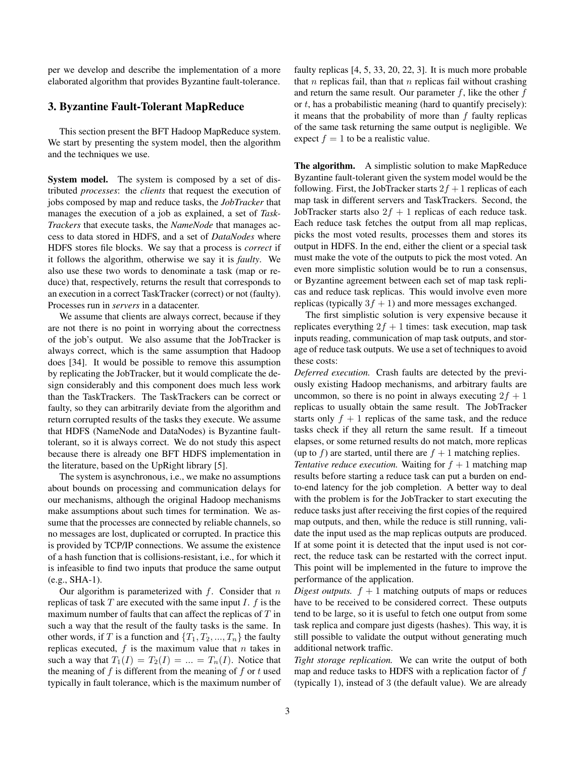per we develop and describe the implementation of a more elaborated algorithm that provides Byzantine fault-tolerance.

### 3. Byzantine Fault-Tolerant MapReduce

This section present the BFT Hadoop MapReduce system. We start by presenting the system model, then the algorithm and the techniques we use.

System model. The system is composed by a set of distributed *processes*: the *clients* that request the execution of jobs composed by map and reduce tasks, the *JobTracker* that manages the execution of a job as explained, a set of *Task-Trackers* that execute tasks, the *NameNode* that manages access to data stored in HDFS, and a set of *DataNodes* where HDFS stores file blocks. We say that a process is *correct* if it follows the algorithm, otherwise we say it is *faulty*. We also use these two words to denominate a task (map or reduce) that, respectively, returns the result that corresponds to an execution in a correct TaskTracker (correct) or not (faulty). Processes run in *servers* in a datacenter.

We assume that clients are always correct, because if they are not there is no point in worrying about the correctness of the job's output. We also assume that the JobTracker is always correct, which is the same assumption that Hadoop does [34]. It would be possible to remove this assumption by replicating the JobTracker, but it would complicate the design considerably and this component does much less work than the TaskTrackers. The TaskTrackers can be correct or faulty, so they can arbitrarily deviate from the algorithm and return corrupted results of the tasks they execute. We assume that HDFS (NameNode and DataNodes) is Byzantine faulttolerant, so it is always correct. We do not study this aspect because there is already one BFT HDFS implementation in the literature, based on the UpRight library [5].

The system is asynchronous, i.e., we make no assumptions about bounds on processing and communication delays for our mechanisms, although the original Hadoop mechanisms make assumptions about such times for termination. We assume that the processes are connected by reliable channels, so no messages are lost, duplicated or corrupted. In practice this is provided by TCP/IP connections. We assume the existence of a hash function that is collisions-resistant, i.e., for which it is infeasible to find two inputs that produce the same output (e.g., SHA-1).

Our algorithm is parameterized with  $f$ . Consider that  $n$ replicas of task  $T$  are executed with the same input  $I$ .  $f$  is the maximum number of faults that can affect the replicas of  $T$  in such a way that the result of the faulty tasks is the same. In other words, if T is a function and  $\{T_1, T_2, ..., T_n\}$  the faulty replicas executed,  $f$  is the maximum value that  $n$  takes in such a way that  $T_1(I) = T_2(I) = ... = T_n(I)$ . Notice that the meaning of  $f$  is different from the meaning of  $f$  or  $t$  used typically in fault tolerance, which is the maximum number of faulty replicas [4, 5, 33, 20, 22, 3]. It is much more probable that  $n$  replicas fail, than that  $n$  replicas fail without crashing and return the same result. Our parameter  $f$ , like the other  $f$ or  $t$ , has a probabilistic meaning (hard to quantify precisely): it means that the probability of more than  $f$  faulty replicas of the same task returning the same output is negligible. We expect  $f = 1$  to be a realistic value.

The algorithm. A simplistic solution to make MapReduce Byzantine fault-tolerant given the system model would be the following. First, the JobTracker starts  $2f + 1$  replicas of each map task in different servers and TaskTrackers. Second, the JobTracker starts also  $2f + 1$  replicas of each reduce task. Each reduce task fetches the output from all map replicas, picks the most voted results, processes them and stores its output in HDFS. In the end, either the client or a special task must make the vote of the outputs to pick the most voted. An even more simplistic solution would be to run a consensus, or Byzantine agreement between each set of map task replicas and reduce task replicas. This would involve even more replicas (typically  $3f + 1$ ) and more messages exchanged.

The first simplistic solution is very expensive because it replicates everything  $2f + 1$  times: task execution, map task inputs reading, communication of map task outputs, and storage of reduce task outputs. We use a set of techniques to avoid these costs:

*Deferred execution.* Crash faults are detected by the previously existing Hadoop mechanisms, and arbitrary faults are uncommon, so there is no point in always executing  $2f + 1$ replicas to usually obtain the same result. The JobTracker starts only  $f + 1$  replicas of the same task, and the reduce tasks check if they all return the same result. If a timeout elapses, or some returned results do not match, more replicas (up to f) are started, until there are  $f + 1$  matching replies.

*Tentative reduce execution.* Waiting for  $f + 1$  matching map results before starting a reduce task can put a burden on endto-end latency for the job completion. A better way to deal with the problem is for the JobTracker to start executing the reduce tasks just after receiving the first copies of the required map outputs, and then, while the reduce is still running, validate the input used as the map replicas outputs are produced. If at some point it is detected that the input used is not correct, the reduce task can be restarted with the correct input. This point will be implemented in the future to improve the performance of the application.

*Digest outputs.*  $f + 1$  matching outputs of maps or reduces have to be received to be considered correct. These outputs tend to be large, so it is useful to fetch one output from some task replica and compare just digests (hashes). This way, it is still possible to validate the output without generating much additional network traffic.

*Tight storage replication.* We can write the output of both map and reduce tasks to HDFS with a replication factor of  $f$ (typically 1), instead of 3 (the default value). We are already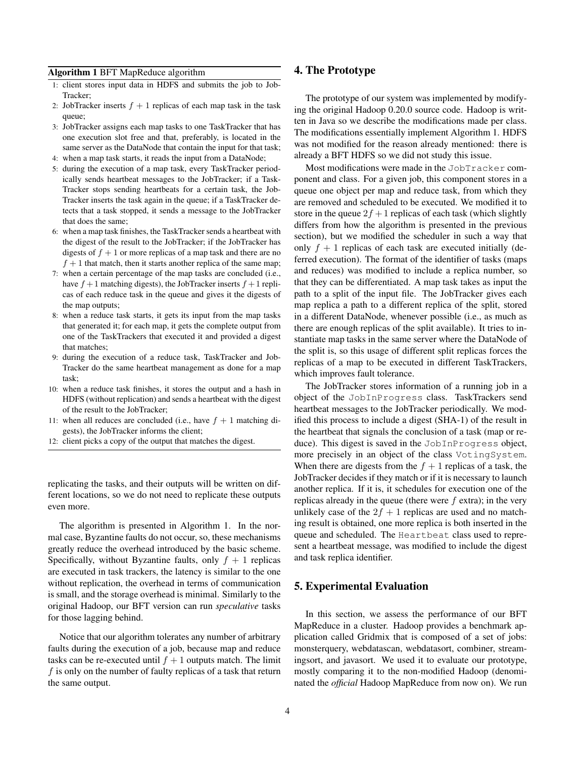#### Algorithm 1 BFT MapReduce algorithm

- 1: client stores input data in HDFS and submits the job to Job-Tracker;
- 2: JobTracker inserts  $f + 1$  replicas of each map task in the task queue;
- 3: JobTracker assigns each map tasks to one TaskTracker that has one execution slot free and that, preferably, is located in the same server as the DataNode that contain the input for that task;
- 4: when a map task starts, it reads the input from a DataNode;
- 5: during the execution of a map task, every TaskTracker periodically sends heartbeat messages to the JobTracker; if a Task-Tracker stops sending heartbeats for a certain task, the Job-Tracker inserts the task again in the queue; if a TaskTracker detects that a task stopped, it sends a message to the JobTracker that does the same;
- 6: when a map task finishes, the TaskTracker sends a heartbeat with the digest of the result to the JobTracker; if the JobTracker has digests of  $f + 1$  or more replicas of a map task and there are no  $f + 1$  that match, then it starts another replica of the same map;
- 7: when a certain percentage of the map tasks are concluded (i.e., have  $f + 1$  matching digests), the JobTracker inserts  $f + 1$  replicas of each reduce task in the queue and gives it the digests of the map outputs;
- 8: when a reduce task starts, it gets its input from the map tasks that generated it; for each map, it gets the complete output from one of the TaskTrackers that executed it and provided a digest that matches;
- 9: during the execution of a reduce task, TaskTracker and Job-Tracker do the same heartbeat management as done for a map task;
- 10: when a reduce task finishes, it stores the output and a hash in HDFS (without replication) and sends a heartbeat with the digest of the result to the JobTracker;
- 11: when all reduces are concluded (i.e., have  $f + 1$  matching digests), the JobTracker informs the client;
- 12: client picks a copy of the output that matches the digest.

replicating the tasks, and their outputs will be written on different locations, so we do not need to replicate these outputs even more.

The algorithm is presented in Algorithm 1. In the normal case, Byzantine faults do not occur, so, these mechanisms greatly reduce the overhead introduced by the basic scheme. Specifically, without Byzantine faults, only  $f + 1$  replicas are executed in task trackers, the latency is similar to the one without replication, the overhead in terms of communication is small, and the storage overhead is minimal. Similarly to the original Hadoop, our BFT version can run *speculative* tasks for those lagging behind.

Notice that our algorithm tolerates any number of arbitrary faults during the execution of a job, because map and reduce tasks can be re-executed until  $f + 1$  outputs match. The limit  $f$  is only on the number of faulty replicas of a task that return the same output.

## 4. The Prototype

The prototype of our system was implemented by modifying the original Hadoop 0.20.0 source code. Hadoop is written in Java so we describe the modifications made per class. The modifications essentially implement Algorithm 1. HDFS was not modified for the reason already mentioned: there is already a BFT HDFS so we did not study this issue.

Most modifications were made in the JobTracker component and class. For a given job, this component stores in a queue one object per map and reduce task, from which they are removed and scheduled to be executed. We modified it to store in the queue  $2f + 1$  replicas of each task (which slightly differs from how the algorithm is presented in the previous section), but we modified the scheduler in such a way that only  $f + 1$  replicas of each task are executed initially (deferred execution). The format of the identifier of tasks (maps and reduces) was modified to include a replica number, so that they can be differentiated. A map task takes as input the path to a split of the input file. The JobTracker gives each map replica a path to a different replica of the split, stored in a different DataNode, whenever possible (i.e., as much as there are enough replicas of the split available). It tries to instantiate map tasks in the same server where the DataNode of the split is, so this usage of different split replicas forces the replicas of a map to be executed in different TaskTrackers, which improves fault tolerance.

The JobTracker stores information of a running job in a object of the JobInProgress class. TaskTrackers send heartbeat messages to the JobTracker periodically. We modified this process to include a digest (SHA-1) of the result in the heartbeat that signals the conclusion of a task (map or reduce). This digest is saved in the JobInProgress object, more precisely in an object of the class VotingSystem. When there are digests from the  $f + 1$  replicas of a task, the JobTracker decides if they match or if it is necessary to launch another replica. If it is, it schedules for execution one of the replicas already in the queue (there were  $f$  extra); in the very unlikely case of the  $2f + 1$  replicas are used and no matching result is obtained, one more replica is both inserted in the queue and scheduled. The Heartbeat class used to represent a heartbeat message, was modified to include the digest and task replica identifier.

### 5. Experimental Evaluation

In this section, we assess the performance of our BFT MapReduce in a cluster. Hadoop provides a benchmark application called Gridmix that is composed of a set of jobs: monsterquery, webdatascan, webdatasort, combiner, streamingsort, and javasort. We used it to evaluate our prototype, mostly comparing it to the non-modified Hadoop (denominated the *official* Hadoop MapReduce from now on). We run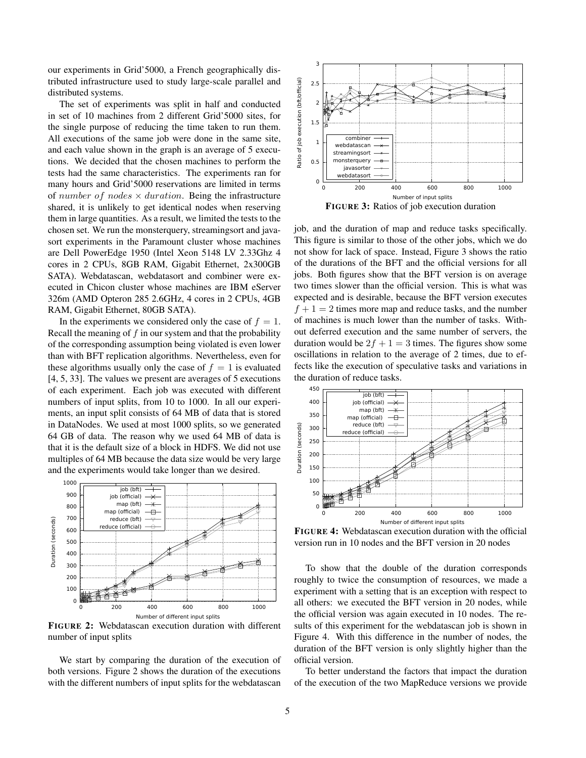our experiments in Grid'5000, a French geographically distributed infrastructure used to study large-scale parallel and distributed systems.

The set of experiments was split in half and conducted in set of 10 machines from 2 different Grid'5000 sites, for the single purpose of reducing the time taken to run them. All executions of the same job were done in the same site, and each value shown in the graph is an average of 5 executions. We decided that the chosen machines to perform the tests had the same characteristics. The experiments ran for many hours and Grid'5000 reservations are limited in terms of number of nodes  $\times$  duration. Being the infrastructure shared, it is unlikely to get identical nodes when reserving them in large quantities. As a result, we limited the tests to the chosen set. We run the monsterquery, streamingsort and javasort experiments in the Paramount cluster whose machines are Dell PowerEdge 1950 (Intel Xeon 5148 LV 2.33Ghz 4 cores in 2 CPUs, 8GB RAM, Gigabit Ethernet, 2x300GB SATA). Webdatascan, webdatasort and combiner were executed in Chicon cluster whose machines are IBM eServer 326m (AMD Opteron 285 2.6GHz, 4 cores in 2 CPUs, 4GB RAM, Gigabit Ethernet, 80GB SATA).

In the experiments we considered only the case of  $f = 1$ . Recall the meaning of f in our system and that the probability of the corresponding assumption being violated is even lower than with BFT replication algorithms. Nevertheless, even for these algorithms usually only the case of  $f = 1$  is evaluated [4, 5, 33]. The values we present are averages of 5 executions of each experiment. Each job was executed with different numbers of input splits, from 10 to 1000. In all our experiments, an input split consists of 64 MB of data that is stored in DataNodes. We used at most 1000 splits, so we generated 64 GB of data. The reason why we used 64 MB of data is that it is the default size of a block in HDFS. We did not use multiples of 64 MB because the data size would be very large and the experiments would take longer than we desired.



FIGURE 2: Webdatascan execution duration with different number of input splits

We start by comparing the duration of the execution of both versions. Figure 2 shows the duration of the executions with the different numbers of input splits for the webdatascan



job, and the duration of map and reduce tasks specifically. This figure is similar to those of the other jobs, which we do not show for lack of space. Instead, Figure 3 shows the ratio of the durations of the BFT and the official versions for all jobs. Both figures show that the BFT version is on average two times slower than the official version. This is what was expected and is desirable, because the BFT version executes  $f + 1 = 2$  times more map and reduce tasks, and the number of machines is much lower than the number of tasks. Without deferred execution and the same number of servers, the duration would be  $2f + 1 = 3$  times. The figures show some oscillations in relation to the average of 2 times, due to effects like the execution of speculative tasks and variations in the duration of reduce tasks.



FIGURE 4: Webdatascan execution duration with the official version run in 10 nodes and the BFT version in 20 nodes

To show that the double of the duration corresponds roughly to twice the consumption of resources, we made a experiment with a setting that is an exception with respect to all others: we executed the BFT version in 20 nodes, while the official version was again executed in 10 nodes. The results of this experiment for the webdatascan job is shown in Figure 4. With this difference in the number of nodes, the duration of the BFT version is only slightly higher than the official version.

To better understand the factors that impact the duration of the execution of the two MapReduce versions we provide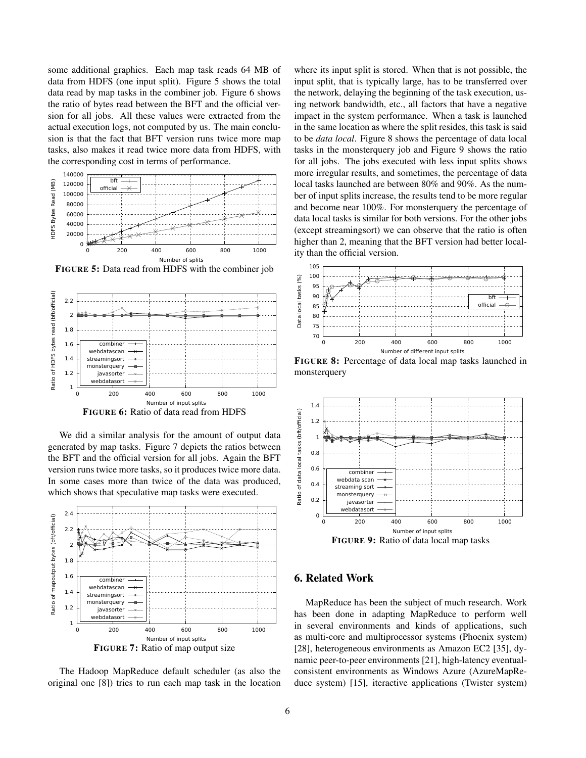some additional graphics. Each map task reads 64 MB of data from HDFS (one input split). Figure 5 shows the total data read by map tasks in the combiner job. Figure 6 shows the ratio of bytes read between the BFT and the official version for all jobs. All these values were extracted from the actual execution logs, not computed by us. The main conclusion is that the fact that BFT version runs twice more map tasks, also makes it read twice more data from HDFS, with the corresponding cost in terms of performance.



FIGURE 5: Data read from HDFS with the combiner job



We did a similar analysis for the amount of output data generated by map tasks. Figure 7 depicts the ratios between the BFT and the official version for all jobs. Again the BFT version runs twice more tasks, so it produces twice more data. In some cases more than twice of the data was produced, which shows that speculative map tasks were executed.



The Hadoop MapReduce default scheduler (as also the original one [8]) tries to run each map task in the location

where its input split is stored. When that is not possible, the input split, that is typically large, has to be transferred over the network, delaying the beginning of the task execution, using network bandwidth, etc., all factors that have a negative impact in the system performance. When a task is launched in the same location as where the split resides, this task is said to be *data local*. Figure 8 shows the percentage of data local tasks in the monsterquery job and Figure 9 shows the ratio for all jobs. The jobs executed with less input splits shows more irregular results, and sometimes, the percentage of data local tasks launched are between 80% and 90%. As the number of input splits increase, the results tend to be more regular and become near 100%. For monsterquery the percentage of data local tasks is similar for both versions. For the other jobs (except streamingsort) we can observe that the ratio is often higher than 2, meaning that the BFT version had better locality than the official version.



FIGURE 8: Percentage of data local map tasks launched in monsterquery



FIGURE 9: Ratio of data local map tasks

### 6. Related Work

MapReduce has been the subject of much research. Work has been done in adapting MapReduce to perform well in several environments and kinds of applications, such as multi-core and multiprocessor systems (Phoenix system) [28], heterogeneous environments as Amazon EC2 [35], dynamic peer-to-peer environments [21], high-latency eventualconsistent environments as Windows Azure (AzureMapReduce system) [15], iteractive applications (Twister system)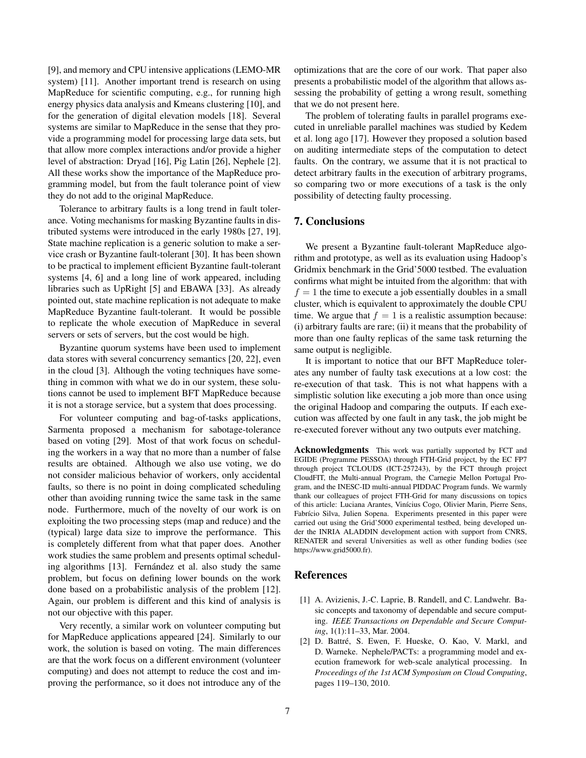[9], and memory and CPU intensive applications (LEMO-MR system) [11]. Another important trend is research on using MapReduce for scientific computing, e.g., for running high energy physics data analysis and Kmeans clustering [10], and for the generation of digital elevation models [18]. Several systems are similar to MapReduce in the sense that they provide a programming model for processing large data sets, but that allow more complex interactions and/or provide a higher level of abstraction: Dryad [16], Pig Latin [26], Nephele [2]. All these works show the importance of the MapReduce programming model, but from the fault tolerance point of view they do not add to the original MapReduce.

Tolerance to arbitrary faults is a long trend in fault tolerance. Voting mechanisms for masking Byzantine faults in distributed systems were introduced in the early 1980s [27, 19]. State machine replication is a generic solution to make a service crash or Byzantine fault-tolerant [30]. It has been shown to be practical to implement efficient Byzantine fault-tolerant systems [4, 6] and a long line of work appeared, including libraries such as UpRight [5] and EBAWA [33]. As already pointed out, state machine replication is not adequate to make MapReduce Byzantine fault-tolerant. It would be possible to replicate the whole execution of MapReduce in several servers or sets of servers, but the cost would be high.

Byzantine quorum systems have been used to implement data stores with several concurrency semantics [20, 22], even in the cloud [3]. Although the voting techniques have something in common with what we do in our system, these solutions cannot be used to implement BFT MapReduce because it is not a storage service, but a system that does processing.

For volunteer computing and bag-of-tasks applications, Sarmenta proposed a mechanism for sabotage-tolerance based on voting [29]. Most of that work focus on scheduling the workers in a way that no more than a number of false results are obtained. Although we also use voting, we do not consider malicious behavior of workers, only accidental faults, so there is no point in doing complicated scheduling other than avoiding running twice the same task in the same node. Furthermore, much of the novelty of our work is on exploiting the two processing steps (map and reduce) and the (typical) large data size to improve the performance. This is completely different from what that paper does. Another work studies the same problem and presents optimal scheduling algorithms [13]. Fernández et al. also study the same problem, but focus on defining lower bounds on the work done based on a probabilistic analysis of the problem [12]. Again, our problem is different and this kind of analysis is not our objective with this paper.

Very recently, a similar work on volunteer computing but for MapReduce applications appeared [24]. Similarly to our work, the solution is based on voting. The main differences are that the work focus on a different environment (volunteer computing) and does not attempt to reduce the cost and improving the performance, so it does not introduce any of the

optimizations that are the core of our work. That paper also presents a probabilistic model of the algorithm that allows assessing the probability of getting a wrong result, something that we do not present here.

The problem of tolerating faults in parallel programs executed in unreliable parallel machines was studied by Kedem et al. long ago [17]. However they proposed a solution based on auditing intermediate steps of the computation to detect faults. On the contrary, we assume that it is not practical to detect arbitrary faults in the execution of arbitrary programs, so comparing two or more executions of a task is the only possibility of detecting faulty processing.

### 7. Conclusions

We present a Byzantine fault-tolerant MapReduce algorithm and prototype, as well as its evaluation using Hadoop's Gridmix benchmark in the Grid'5000 testbed. The evaluation confirms what might be intuited from the algorithm: that with  $f = 1$  the time to execute a job essentially doubles in a small cluster, which is equivalent to approximately the double CPU time. We argue that  $f = 1$  is a realistic assumption because: (i) arbitrary faults are rare; (ii) it means that the probability of more than one faulty replicas of the same task returning the same output is negligible.

It is important to notice that our BFT MapReduce tolerates any number of faulty task executions at a low cost: the re-execution of that task. This is not what happens with a simplistic solution like executing a job more than once using the original Hadoop and comparing the outputs. If each execution was affected by one fault in any task, the job might be re-executed forever without any two outputs ever matching.

Acknowledgments This work was partially supported by FCT and EGIDE (Programme PESSOA) through FTH-Grid project, by the EC FP7 through project TCLOUDS (ICT-257243), by the FCT through project CloudFIT, the Multi-annual Program, the Carnegie Mellon Portugal Program, and the INESC-ID multi-annual PIDDAC Program funds. We warmly thank our colleagues of project FTH-Grid for many discussions on topics of this article: Luciana Arantes, Vinícius Cogo, Olivier Marin, Pierre Sens, Fabrício Silva, Julien Sopena. Experiments presented in this paper were carried out using the Grid'5000 experimental testbed, being developed under the INRIA ALADDIN development action with support from CNRS, RENATER and several Universities as well as other funding bodies (see https://www.grid5000.fr).

#### References

- [1] A. Avizienis, J.-C. Laprie, B. Randell, and C. Landwehr. Basic concepts and taxonomy of dependable and secure computing. *IEEE Transactions on Dependable and Secure Computing*, 1(1):11–33, Mar. 2004.
- [2] D. Battré, S. Ewen, F. Hueske, O. Kao, V. Markl, and D. Warneke. Nephele/PACTs: a programming model and execution framework for web-scale analytical processing. In *Proceedings of the 1st ACM Symposium on Cloud Computing*, pages 119–130, 2010.